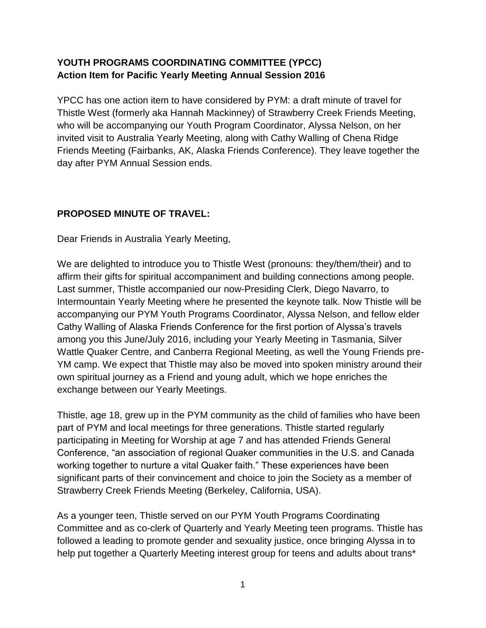## **YOUTH PROGRAMS COORDINATING COMMITTEE (YPCC) Action Item for Pacific Yearly Meeting Annual Session 2016**

YPCC has one action item to have considered by PYM: a draft minute of travel for Thistle West (formerly aka Hannah Mackinney) of Strawberry Creek Friends Meeting, who will be accompanying our Youth Program Coordinator, Alyssa Nelson, on her invited visit to Australia Yearly Meeting, along with Cathy Walling of Chena Ridge Friends Meeting (Fairbanks, AK, Alaska Friends Conference). They leave together the day after PYM Annual Session ends.

## **PROPOSED MINUTE OF TRAVEL:**

Dear Friends in Australia Yearly Meeting,

We are delighted to introduce you to Thistle West (pronouns: they/them/their) and to affirm their gifts for spiritual accompaniment and building connections among people. Last summer, Thistle accompanied our now-Presiding Clerk, Diego Navarro, to Intermountain Yearly Meeting where he presented the keynote talk. Now Thistle will be accompanying our PYM Youth Programs Coordinator, Alyssa Nelson, and fellow elder Cathy Walling of Alaska Friends Conference for the first portion of Alyssa's travels among you this June/July 2016, including your Yearly Meeting in Tasmania, Silver Wattle Quaker Centre, and Canberra Regional Meeting, as well the Young Friends pre-YM camp. We expect that Thistle may also be moved into spoken ministry around their own spiritual journey as a Friend and young adult, which we hope enriches the exchange between our Yearly Meetings.

Thistle, age 18, grew up in the PYM community as the child of families who have been part of PYM and local meetings for three generations. Thistle started regularly participating in Meeting for Worship at age 7 and has attended Friends General Conference, "an association of regional Quaker communities in the U.S. and Canada working together to nurture a vital Quaker faith." These experiences have been significant parts of their convincement and choice to join the Society as a member of Strawberry Creek Friends Meeting (Berkeley, California, USA).

As a younger teen, Thistle served on our PYM Youth Programs Coordinating Committee and as co-clerk of Quarterly and Yearly Meeting teen programs. Thistle has followed a leading to promote gender and sexuality justice, once bringing Alyssa in to help put together a Quarterly Meeting interest group for teens and adults about trans<sup>\*</sup>